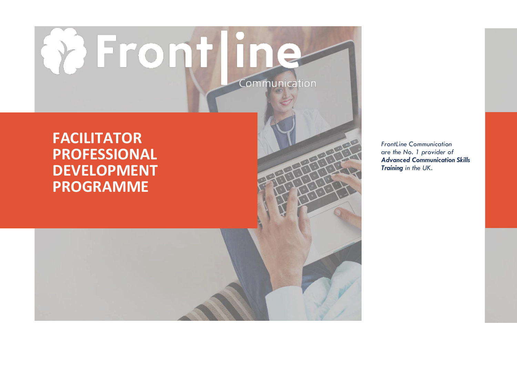# **Q** Frontline Communication

### **FACILITATOR PROFESSIONAL DEVELOPMENT PROGRAMME**

*FrontLine Communication are the No. 1 provider of Advanced Communication Skills Training in the UK.*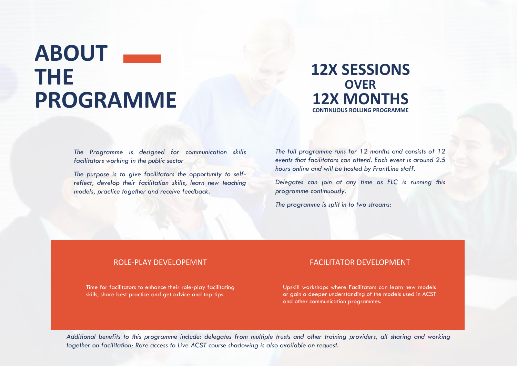## **ABOUT THE PROGRAMME**

#### **12X SESSIONS OVER 12X MONTHS CONTINUOUS ROLLING PROGRAMME**

*The Programme is designed for communication skills facilitators working in the public sector*

*The purpose is to give facilitators the opportunity to selfreflect, develop their facilitation skills, learn new teaching models, practice together and receive feedback.* 

*The full programme runs for 12 months and consists of 12 events that facilitators can attend. Each event is around 2.5 hours online and will be hosted by FrontLine staff.* 

*Delegates can join at any time as FLC is running this programme continuously.*

*The programme is split in to two streams:*

Time for facilitators to enhance their role-play facilitating skills, share best practice and get advice and top-tips.

#### ROLE-PLAY DEVELOPEMNT THE SALE OF THE ROLL TO THE FACILITATOR DEVELOPMENT

Upskill workshops where Facilitators can learn new models or gain a deeper understanding of the models used in ACST and other communication programmes.

*Additional benefits to this programme include: delegates from multiple trusts and other training providers, all sharing and working together on facilitation; Rare access to Live ACST course shadowing is also available on request.*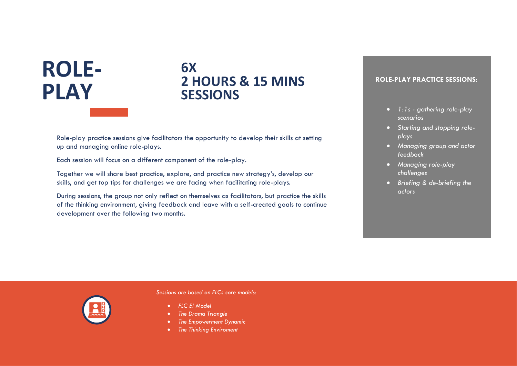# **ROLE-PLAY**

#### **6X 2 HOURS & 15 MINS SESSIONS**

Role-play practice sessions give facilitators the opportunity to develop their skills at setting up and managing online role-plays.

Each session will focus on a different component of the role-play.

Together we will share best practice, explore, and practice new strategy's, develop our skills, and get top tips for challenges we are facing when facilitating role-plays.

During sessions, the group not only reflect on themselves as facilitators, but practice the skills of the thinking environment, giving feedback and leave with a self-created goals to continue development over the following two months.

#### **ROLE-PLAY PRACTICE SESSIONS:**

- *1:1s - gathering role-play scenarios*
- *Starting and stopping roleplays*
- *Managing group and actor feedback*
- *Managing role-play challenges*
- *Briefing & de-briefing the actors*



*Sessions are based on FLCs core models:*

- *FLC EI Model*
- *The Drama Triangle*
- *The Empowerment Dynamic*
- *The Thinking Enviroment*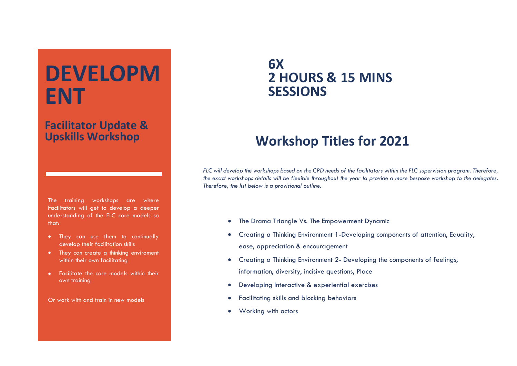# **DEVELOPM ENT**

#### **Facilitator Update & Upskills Workshop**

The training workshops are where Facilitators will get to develop a deeper understanding of the FLC core models so that:

- They can use them to continually develop their facilitation skills
- They can create a thinking enviroment within their own facilitating
- Facilitate the core models within their own training

Or work with and train in new models

#### **6X 2 HOURS & 15 MINS SESSIONS**

### **Workshop Titles for 2021**

*FLC will develop the workshops based on the CPD needs of the facilitators within the FLC supervision program. Therefore, the exact workshops details will be flexible throughout the year to provide a more bespoke workshop to the delegates. Therefore, the list below is a provisional outline.*

- The Drama Triangle Vs. The Empowerment Dynamic
- Creating a Thinking Environment 1-Developing components of attention, Equality, ease, appreciation & encouragement
- Creating a Thinking Environment 2- Developing the components of feelings, information, diversity, incisive questions, Place
- Developing Interactive & experiential exercises
- Facilitating skills and blocking behaviors
- Working with actors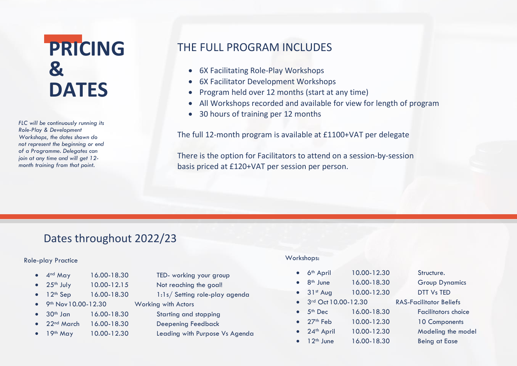### **PRICING & DATES**

*FLC will be continuously running its Role-Play & Development Workshops, the dates shown do not represent the beginning or end of a Programme. Delegates can join at any time and will get 12 month training from that point.*

#### THE FULL PROGRAM INCLUDES

- 6X Facilitating Role-Play Workshops
- 6X Facilitator Development Workshops
- Program held over 12 months (start at any time)
- All Workshops recorded and available for view for length of program
- 30 hours of training per 12 months

The full 12-month program is available at £1100+VAT per delegate

There is the option for Facilitators to attend on a session-by-session basis priced at £120+VAT per session per person.

#### Dates throughout 2022/23

#### Role-play Practice

- 4<sup>nd</sup> May 16.00-18.30 TED- working your group
- 
- - 9<sup>th</sup> Nov 10.00-12.30 Working with Actors
- 30th Jan 16.00-18.30 Starting and stopping
- 22nd March 16.00-18.30 Deepening Feedback
- 
- 25<sup>th</sup> July 10.00-12.15 Not reaching the goal!
- 12<sup>th</sup> Sep 16.00-18.30 1:1s/ Setting role-play agenda
	- -
		-
- 19<sup>th</sup> May 10.00-12.30 Leading with Purpose Vs Agenda

#### Workshops:

- 6<sup>th</sup> April 10.00-12.30 Structure. 8<sup>th</sup> June 16.00-18.30 Group Dynamics 31st Aug 10.00-12.30 DTT Vs TED 3<sup>rd</sup> Oct 10.00-12.30 RAS-Facilitator Beliefs • 5<sup>th</sup> Dec 16.00-18.30 Facilitators choice • 27<sup>th</sup> Feb 10.00-12.30 10 Components 24<sup>th</sup> April 10.00-12.30 Modeling the model
	- 12<sup>th</sup> June 16.00-18.30 Being at Ease
- -
	-